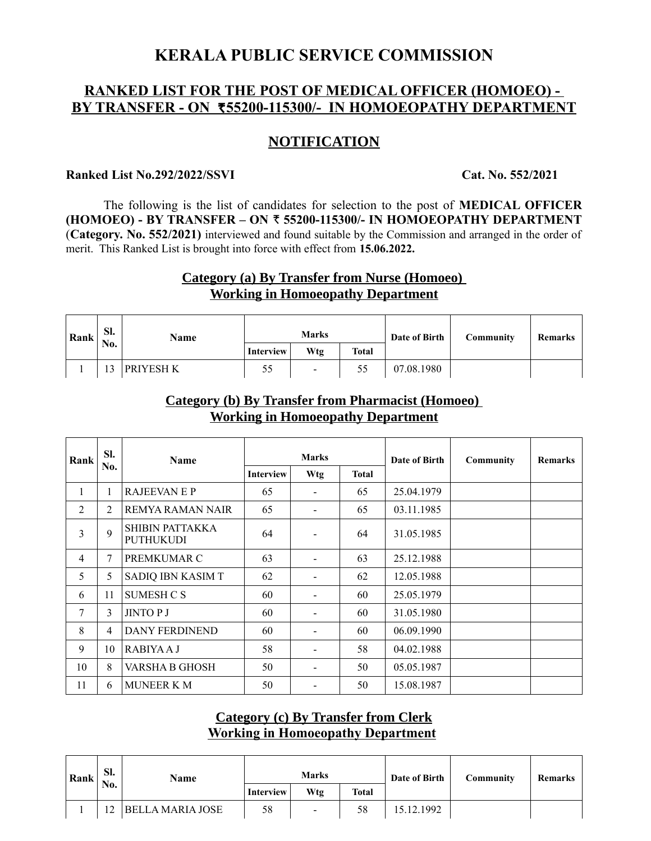# **KERALA PUBLIC SERVICE COMMISSION**

### **RANKED LIST FOR THE POST OF MEDICAL OFFICER (HOMOEO) - BY TRANSFER - ON ₹55200-115300/- IN HOMOEOPATHY DEPARTMENT**

### **NOTIFICATION**

#### **Ranked List No.292/2022/SSVI** Cat. No. 552/2021

The following is the list of candidates for selection to the post of **MEDICAL OFFICER (HOMOEO) - BY TRANSFER – ON** R **55200-115300/- IN HOMOEOPATHY DEPARTMENT** (**Category. No. 552/2021)** interviewed and found suitable by the Commission and arranged in the order of merit. This Ranked List is brought into force with effect from **15.06.2022.**

## **Category (a) By Transfer from Nurse (Homoeo) Working in Homoeopathy Department**

| Rank | Sl.<br>No. | Name      | <b>Marks</b> |                |              | Date of Birth | Community | <b>Remarks</b> |
|------|------------|-----------|--------------|----------------|--------------|---------------|-----------|----------------|
|      |            |           | Interview    | Wtg            | <b>Total</b> |               |           |                |
|      | 13         | PRIYESH K | 55           | $\blacksquare$ |              | 07.08.1980    |           |                |

## **Category (b) By Transfer from Pharmacist (Homoeo) Working in Homoeopathy Department**

| Rank         | Sl.<br>No. | <b>Name</b>                         | <b>Marks</b>     |     |              | Date of Birth | Community | <b>Remarks</b> |
|--------------|------------|-------------------------------------|------------------|-----|--------------|---------------|-----------|----------------|
|              |            |                                     | <b>Interview</b> | Wtg | <b>Total</b> |               |           |                |
| $\mathbf{1}$ | 1          | <b>RAJEEVAN E P</b>                 | 65               |     | 65           | 25.04.1979    |           |                |
| 2            | 2          | REMYA RAMAN NAIR                    | 65               |     | 65           | 03.11.1985    |           |                |
| 3            | 9          | SHIBIN PATTAKKA<br><b>PUTHUKUDI</b> | 64               |     | 64           | 31.05.1985    |           |                |
| 4            | 7          | PREMKUMAR C                         | 63               |     | 63           | 25.12.1988    |           |                |
| 5            | 5          | SADIQ IBN KASIM T                   | 62               | -   | 62           | 12.05.1988    |           |                |
| 6            | 11         | <b>SUMESH C S</b>                   | 60               |     | 60           | 25.05.1979    |           |                |
| 7            | 3          | <b>JINTOPJ</b>                      | 60               |     | 60           | 31.05.1980    |           |                |
| 8            | 4          | <b>DANY FERDINEND</b>               | 60               |     | 60           | 06.09.1990    |           |                |
| 9            | 10         | <b>RABIYAAJ</b>                     | 58               |     | 58           | 04.02.1988    |           |                |
| 10           | 8          | VARSHA B GHOSH                      | 50               |     | 50           | 05.05.1987    |           |                |
| 11           | 6          | <b>MUNEER K M</b>                   | 50               |     | 50           | 15.08.1987    |           |                |

### **Category (c) By Transfer from Clerk Working in Homoeopathy Department**

| Rank | SI.<br>No. | Name                    | <b>Marks</b>     |     |       | Date of Birth | Community | Remarks |
|------|------------|-------------------------|------------------|-----|-------|---------------|-----------|---------|
|      |            |                         | <b>Interview</b> | Wtg | Total |               |           |         |
|      | 12         | <b>BELLA MARIA JOSE</b> | 58               | -   | 58    | 15.12.1992    |           |         |